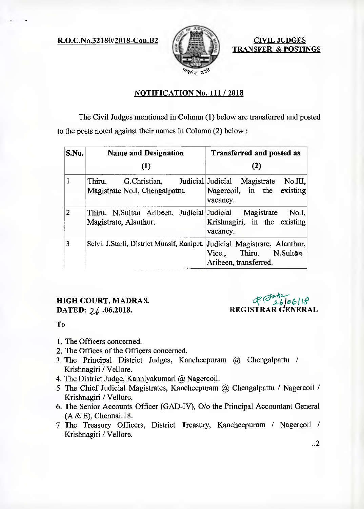R.O.C.No.32180/2018-Con.B2  $\left| \begin{array}{cc} \end{array} \right|$   $\left| \begin{array}{cc} \end{array} \right|$  CIVIL JUDGES



TRANSFER & POSTINGS

# NOTIFICATION No. **111 /2018**

The Civil Judges mentioned in Column (1) below are transferred and posted to the posts noted against their names in Column (2) below:

| S.No.          | <b>Name and Designation</b>                                                    | <b>Transferred and posted as</b>                                                            |
|----------------|--------------------------------------------------------------------------------|---------------------------------------------------------------------------------------------|
|                | (1)                                                                            | (2)                                                                                         |
| 1              | Thiru.<br>Magistrate No.I, Chengalpattu.                                       | G.Christian, Judicial Judicial Magistrate No.III,<br>Nagercoil, in the existing<br>vacancy. |
| $\overline{2}$ | Thiru. N.Sultan Aribeen, Judicial Judicial Magistrate<br>Magistrate, Alanthur. | $N$ o.I.<br>Krishnagiri, in the existing<br>vacancy.                                        |
| 3              | Selvi. J. Starli, District Munsif, Ranipet.                                    | Judicial Magistrate, Alanthur,<br>Vice., Thiru. N.Sultan<br>Aribeen, transferred.           |

**HIGH COURT, MADRAS. DATED:** *2,4* **.06.2018.** 

 $R^{(0)}$ 26/06/18 REGISTRAR GENERAL

To

- 1. The Officers concerned.
- 2. The Offices of the Officers concerned.
- 3. The Principal District Judges, Kancheepuram @ Chengalpattu / Krishnagiri / Vellore.
- 4. The District Judge, Kanniyakumari @ Nagercoil.
- 5. The Chief Judicial Magistrates, Kancheepuram @ Chengalpattu / Nagercoil / Krishnagiri / Vellore.
- 6. The Senior Accounts Officer (GAD-IV), 0/o the Principal Accountant General (A & E), Chennai.18.
- 7. The Treasury Officers, District Treasury, Kancheepuram / Nagercoil / Krishnagiri / Vellore.

..2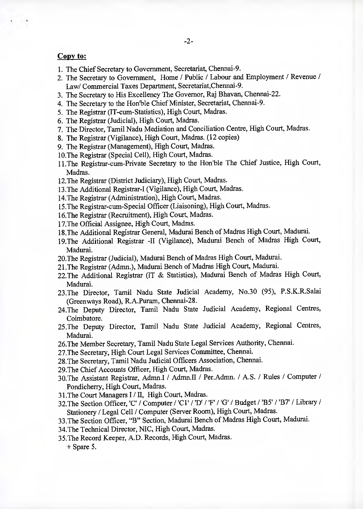#### Copy to:

- 1. The Chief Secretary to Government, Secretariat, Chennai-9.
- 2. The Secretary to Government, Home / Public / Labour and Employment / Revenue / Law/ Commercial Taxes Department, Secretariat,Chennai-9.
- 3. The Secretary to His Excellency The Governor, Raj Bhavan, Chennai-22.
- 4. The Secretary to the Hon'ble Chief Minister, Secretariat, Chennai-9.
- 5. The Registrar (IT-cum-Statistics), High Court, Madras.
- 6. The Registrar (Judicial), High Court, Madras.
- 7. The Director, Tamil Nadu Mediation and Conciliation Centre, High Court, Madras.
- 8. The Registrar (Vigilance), High Court, Madras. (12 copies)
- 9. The Registrar (Management), High Court, Madras.
- 10.The Registrar (Special Cell), High Court, Madras.
- 11.The Registrar-cum-Private Secretary to the Hon'ble The Chief Justice, High Court, Madras.
- 12.The Registrar (District Judiciary), High Court, Madras.
- 13.The Additional Registrar-I (Vigilance), High Court, Madras.
- 14.The Registrar (Administration), High Court, Madras.
- 15.The Registrar-cum-Special Officer (Liaisoning), High Court, Madras.
- 16.The Registrar (Recruitment), High Court, Madras.
- 17.The Official Assignee, High Court, Madras.
- 18.The Additional Registrar General, Madurai Bench of Madras High Court, Madurai.
- 19.The Additional Registrar -II (Vigilance), Madurai Bench of Madras High Court, Madurai.
- 20.The Registrar (Judicial), Madurai Bench of Madras High Court, Madurai.
- 21.The Registrar (Admn.), Madurai Bench of Madras High Court, Madurai.
- 22.The Additional Registrar (IT & Statistics), Madurai Bench of Madras High Court, Madurai.
- 23.The Director, Tamil Nadu State Judicial Academy, No.30 (95), P.S.K.R.Salai (Greenways Road), R.A.Puram, Chennai-28.
- 24.The Deputy Director, Tamil Nadu State Judicial Academy, Regional Centres, Coimbatore.
- 25 .The Deputy Director, Tamil Nadu State Judicial Academy, Regional Centres, Madurai.
- 26.The Member Secretary, Tamil Nadu State Legal Services Authority, Chennai.
- 27.The Secretary, High Court Legal Services Committee, Chennai.
- 28.The Secretary, Tamil Nadu Judicial Officers Association, Chennai.
- 29.The Chief Accounts Officer, High Court, Madras.
- 30.The Assistant Registrar, Admn.I / Admn.II / Per.Admn. / A.S. / Rules / Computer / Pondicherry, High Court, Madras.
- 31.The Court Managers I / II, High Court, Madras.
- 32.The Section Officer, 'C' / Computer / 'Cl' / 'D' / 'F' / 'G' / Budget / 'B5' / 'B7' / Library / Stationery / Legal Cell / Computer (Server Room), High Court, Madras.
- 33.The Section Officer, "B" Section, Madurai Bench of Madras High Court, Madurai.
- 34.The Technical Director, NIC, High Court, Madras.
- 35.The Record Keeper, A.D. Records, High Court, Madras.

+ Spare 5.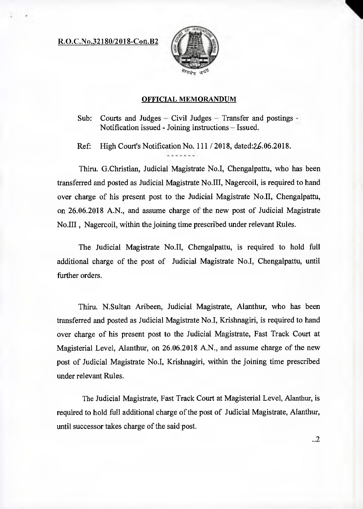R.O.C.No.32180/2018-Con.B2



## OFFICIAL MEMORANDUM

Sub: Courts and Judges — Civil Judges — Transfer and postings - Notification issued - Joining instructions — Issued.

Ref: High Court's Notification No.  $111/2018$ , dated: $26.06.2018$ .

Thin. G.Christian, Judicial Magistrate No.I, Chengalpattu, who has been transferred and posted as Judicial Magistrate No.III, Nagercoil, is required to hand over charge of his present post to the Judicial Magistrate No.II, Chengalpattu, on 26.06.2018 A.N., and assume charge of the new post of Judicial Magistrate No.III , Nagercoil, within the joining time prescribed under relevant Rules.

The Judicial Magistrate No.II, Chengalpattu, is required to hold full additional charge of the post of Judicial Magistrate No.I, Chengalpattu, until further orders.

Thiru. N.Sultan Aribeen, Judicial Magistrate, Alanthur, who has been transferred and posted as Judicial Magistrate No.I, Krishnagiri, is required to hand over charge of his present post to the Judicial Magistrate, Fast Track Court at Magisterial Level, Alanthur, on 26.06.2018 A.N., and assume charge of the new post of Judicial Magistrate No.I, Krishnagiri, within the joining time prescribed under relevant Rules.

The Judicial Magistrate, Fast Track Court at Magisterial Level, Alanthur, is required to hold full additional charge of the post of Judicial Magistrate, Alanthur, until successor takes charge of the said post.